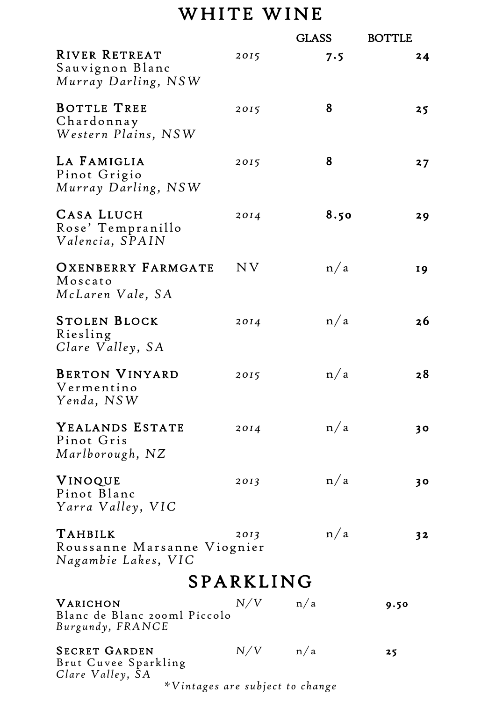# WHITE WINE

|                                                                  |           | <b>GLASS</b> |      | <b>BOTTLE</b> |
|------------------------------------------------------------------|-----------|--------------|------|---------------|
| <b>RIVER RETREAT</b><br>Sauvignon Blanc<br>Murray Darling, NSW   | 2015      |              | 7.5  | 24            |
| BOTTLE TREE<br>Chardonnay<br>Western Plains, NSW                 | 2015      |              | 8    | 25            |
| LA FAMIGLIA<br>Pinot Grigio<br>Murray Darling, NSW               | 2015      |              | 8    | 27            |
| CASA LLUCH<br>Rose' Tempranillo<br>Valencia, SPAIN               | 2014      |              | 8.50 | 29            |
| OXENBERRY FARMGATE<br>Moscato<br>McLaren Vale, SA                | N V       |              | n/a  | <b>19</b>     |
| <b>STOLEN BLOCK</b><br>Riesling<br>Clare Valley, SA              | 2014      |              | n/a  | 26            |
| <b>BERTON VINYARD</b><br>Vermentino<br>Yenda, NSW                | 2015      |              | n/a  | 28            |
| YEALANDS ESTATE<br>Pinot Gris<br>Marlborough, NZ                 | 2014      |              | n/a  | 30            |
| <b>VINOQUE</b><br>Pinot Blanc<br>Yarra Valley, VIC               | 2013      |              | n/a  | 30            |
| TAHBILK<br>Roussanne Marsanne Viognier<br>Nagambie Lakes, VIC    | 2013      |              | n/a  | 32            |
|                                                                  | SPARKLING |              |      |               |
| VARICHON<br>Blanc de Blanc 200ml Piccolo<br>Burgundy, FRANCE     | N/V       | n/a          |      | 9.50          |
| <b>SECRET GARDEN</b><br>Brut Cuvee Sparkling<br>Clare Valley, SA | N/V       | n/a          |      | 25            |

*\*Vintages are subject to change*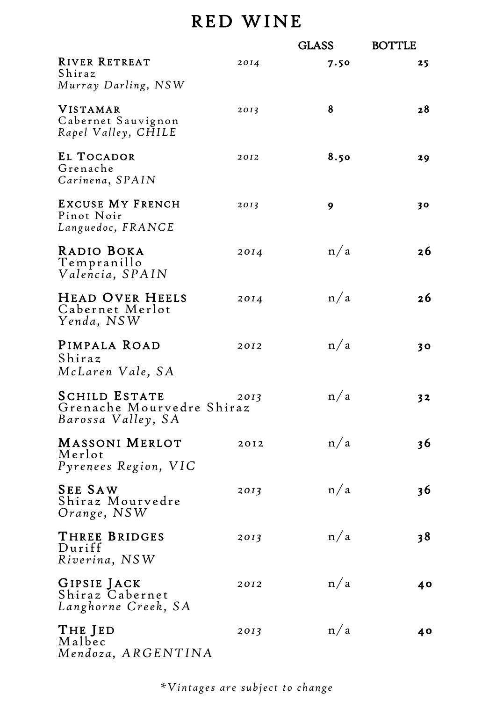# RED WINE

|                                                                         |      | <b>GLASS</b> | <b>BOTTLE</b>  |
|-------------------------------------------------------------------------|------|--------------|----------------|
| <b>RIVER RETREAT</b><br>Shiraz<br>Murray Darling, NSW                   | 2014 | 7.50         | 25             |
| VISTAMAR<br>Cabernet Sauvignon<br>Rapel Valley, CHILE                   | 2013 | 8            | 28             |
| EL TOCADOR<br>Grenache<br>Carinena, SPAIN                               | 2012 | 8.50         | 29             |
| <b>EXCUSE MY FRENCH</b><br>Pinot Noir<br>Languedoc, FRANCE              | 2013 | 9            | 30             |
| RADIO BOKA<br>Tempranillo<br>Valencia, SPAIN                            | 2014 | n/a          | 26             |
| HEAD OVER HEELS<br>Cabernet Merlot<br>Yenda, NSW                        | 2014 | n/a          | 26             |
| PIMPALA ROAD<br>Shiraz<br>McLaren Vale, SA                              | 2012 | n/a          | 30             |
| <b>SCHILD ESTATE</b><br>Grenache Mourvedre Shiraz<br>Barossa Valley, SA | 2013 | n/a          | 32             |
| <b>MASSONI MERLOT</b><br>Merlot<br>Pyrenees Region, VIC                 | 2012 | n/a          | 3 <sup>6</sup> |
| <b>SEE SAW</b><br>Shiraz Mourvedre<br>Orange, NSW                       | 2013 | n/a          | 36             |
| THREE BRIDGES<br>Duriff<br>Riverina, NSW                                | 2013 | n/a          | 38             |
| GIPSIE JACK<br>Shiraz Cabernet<br>Langhorne Creek, SA                   | 2012 | n/a          | 40             |
| THE JED<br>Malbec<br>Mendoza, ARGENTINA                                 | 2013 | n/a          | 40             |

*\*Vintages are subject to change*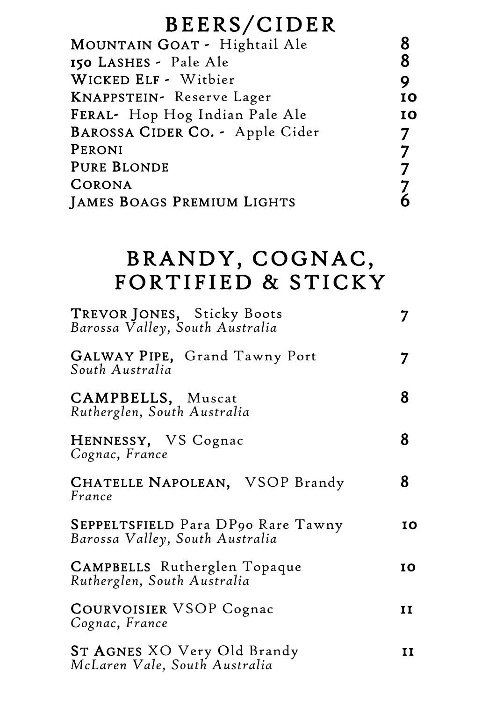# BEERS/CIDER

| MOUNTAIN GOAT - Hightail Ale      |                |
|-----------------------------------|----------------|
| 150 LASHES - Pale Ale             | 8              |
| WICKED ELF - Witbier              | 9              |
| KNAPPSTEIN- Reserve Lager         | IO             |
| FERAL- Hop Hog Indian Pale Ale    | IO             |
| BAROSSA CIDER CO. - Apple Cider   | 7              |
| PERONI                            | $\overline{7}$ |
| <b>PURE BLONDE</b>                |                |
| CORONA                            |                |
| <b>JAMES BOAGS PREMIUM LIGHTS</b> |                |
|                                   |                |

# BRANDY, COGNAC, FORTIFIED & STICKY

| TREVOR JONES, Sticky Boots<br>Barossa Valley, South Australia         | 7  |
|-----------------------------------------------------------------------|----|
| GALWAY PIPE, Grand Tawny Port<br>South Australia                      | 7  |
| CAMPBELLS, Muscat<br>Rutherglen, South Australia                      | 8  |
| HENNESSY, VS Cognac<br>Cognac, France                                 | 8  |
| CHATELLE NAPOLEAN, VSOP Brandy<br>France                              | 8  |
| SEPPELTSFIELD Para DP90 Rare Tawny<br>Barossa Valley, South Australia | IO |
| CAMPBELLS Rutherglen Topaque<br>Rutherglen, South Australia           | IO |
| <b>COURVOISIER VSOP Cognac</b><br>Cognac, France                      | II |
| ST AGNES XO Very Old Brandy<br>McLaren Vale, South Australia          | 11 |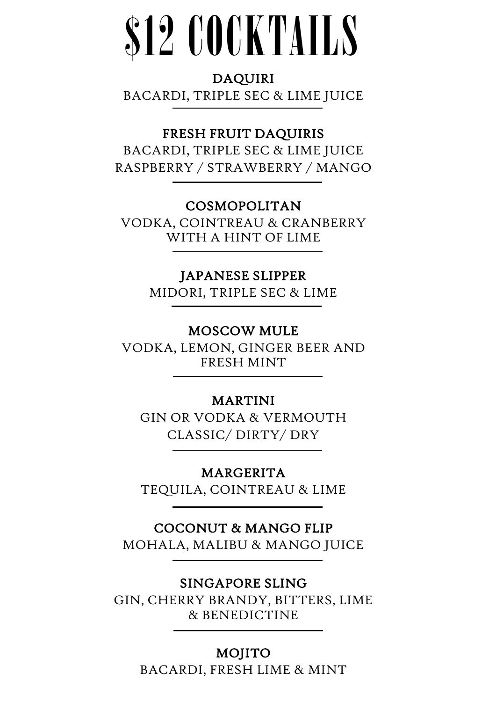# \$12 COCKTAILS

#### DAQUIRI

BACARDI, TRIPLE SEC & LIME JUICE

# FRESH FRUIT DAQUIRIS

BACARDI, TRIPLE SEC & LIME JUICE RASPBERRY / STRAWBERRY / MANGO

### COSMOPOLITAN

VODKA, COINTREAU & CRANBERRY WITH A HINT OF LIME

#### JAPANESE SLIPPER

MIDORI, TRIPLE SEC & LIME

#### MOSCOW MULE

VODKA, LEMON, GINGER BEER AND FRESH MINT

#### MARTINI

GIN OR VODKA & VERMOUTH CLASSIC/ DIRTY/ DRY

#### MARGERITA

TEQUILA, COINTREAU & LIME

#### COCONUT & MANGO FLIP

MOHALA, MALIBU & MANGO JUICE

#### SINGAPORE SLING

I

GIN, CHERRY BRANDY, BITTERS, LIME & BENEDICTINE

#### MOJITO

BACARDI, FRESH LIME & MINT